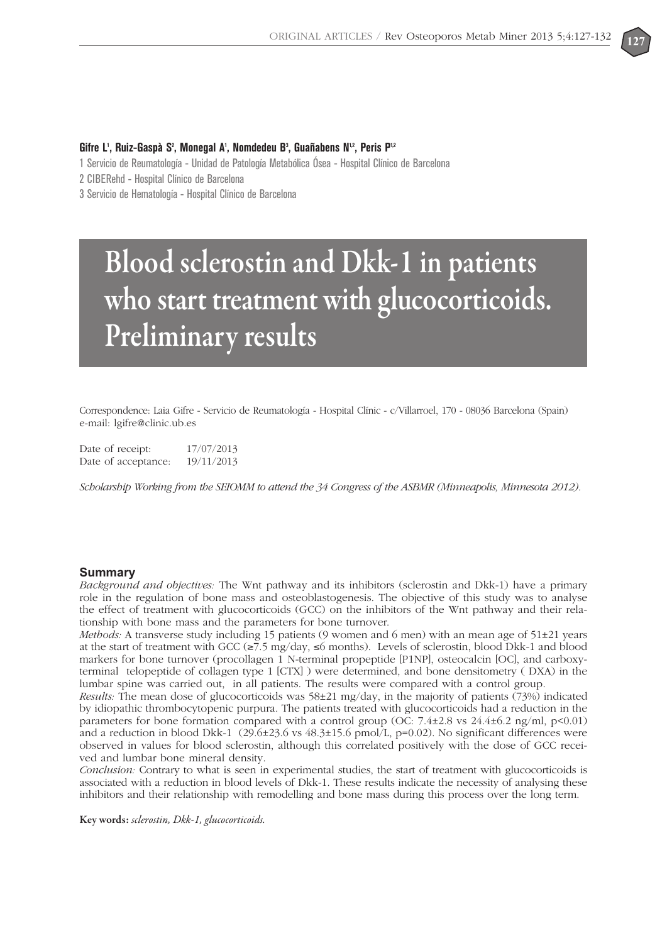

## Gifre L<sup>1</sup>, Ruiz-Gaspà S<sup>2</sup>, Monegal A<sup>1</sup>, Nomdedeu B<sup>3</sup>, Guañabens N<sup>12</sup>, Peris P<sup>12</sup>

1 Servicio de Reumatología - Unidad de Patología Metabólica Ósea - Hospital Clínico de Barcelona

2 CIBERehd - Hospital Clínico de Barcelona

3 Servicio de Hematología - Hospital Clínico de Barcelona

# **Blood sclerostin and Dkk-1 in patients who start treatment with glucocorticoids. Preliminary results**

Correspondence: Laia Gifre - Servicio de Reumatología - Hospital Clínic - c/Villarroel, 170 - 08036 Barcelona (Spain) e-mail: lgifre@clinic.ub.es

Date of receipt: 17/07/2013 Date of acceptance: 19/11/2013

*Scholarship Working from the SEIOMM to attend the 34 Congress of the ASBMR (Minneapolis, Minnesota 2012).*

## **Summary**

*Background and objectives:* The Wnt pathway and its inhibitors (sclerostin and Dkk-1) have a primary role in the regulation of bone mass and osteoblastogenesis. The objective of this study was to analyse the effect of treatment with glucocorticoids (GCC) on the inhibitors of the Wnt pathway and their relationship with bone mass and the parameters for bone turnover.

*Methods:* A transverse study including 15 patients (9 women and 6 men) with an mean age of 51±21 years at the start of treatment with GCC (≥7.5 mg/day, ≤6 months). Levels of sclerostin, blood Dkk-1 and blood markers for bone turnover (procollagen 1 N-terminal propeptide [P1NP], osteocalcin [OC], and carboxyterminal telopeptide of collagen type 1 [CTX] ) were determined, and bone densitometry ( DXA) in the lumbar spine was carried out, in all patients. The results were compared with a control group.

*Results:* The mean dose of glucocorticoids was 58±21 mg/day, in the majority of patients (73%) indicated by idiopathic thrombocytopenic purpura. The patients treated with glucocorticoids had a reduction in the parameters for bone formation compared with a control group (OC:  $7.4\pm2.8$  vs  $24.4\pm6.2$  ng/ml, p<0.01) and a reduction in blood Dkk-1 (29.6±23.6 vs 48.3±15.6 pmol/L, p=0.02). No significant differences were observed in values for blood sclerostin, although this correlated positively with the dose of GCC received and lumbar bone mineral density.

*Conclusion:* Contrary to what is seen in experimental studies, the start of treatment with glucocorticoids is associated with a reduction in blood levels of Dkk-1. These results indicate the necessity of analysing these inhibitors and their relationship with remodelling and bone mass during this process over the long term.

**Key words:** *sclerostin, Dkk-1, glucocorticoids.*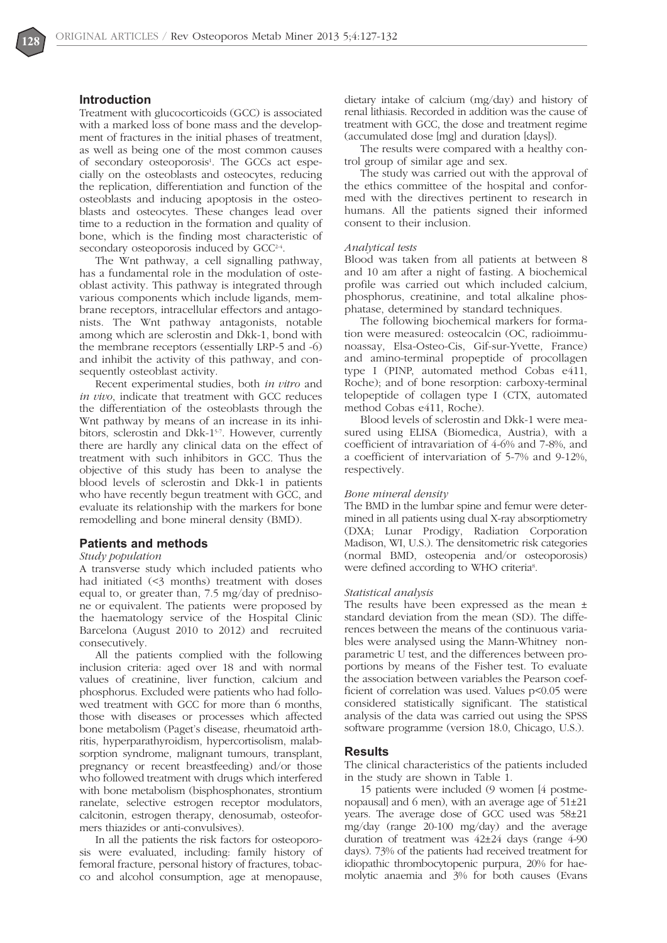## **Introduction**

Treatment with glucocorticoids (GCC) is associated with a marked loss of bone mass and the development of fractures in the initial phases of treatment, as well as being one of the most common causes of secondary osteoporosis<sup>1</sup>. The GCCs act especially on the osteoblasts and osteocytes, reducing the replication, differentiation and function of the osteoblasts and inducing apoptosis in the osteoblasts and osteocytes. These changes lead over time to a reduction in the formation and quality of bone, which is the finding most characteristic of secondary osteoporosis induced by GCC<sup>2-4</sup>.

The Wnt pathway, a cell signalling pathway, has a fundamental role in the modulation of osteoblast activity. This pathway is integrated through various components which include ligands, membrane receptors, intracellular effectors and antagonists. The Wnt pathway antagonists, notable among which are sclerostin and Dkk-1, bond with the membrane receptors (essentially LRP-5 and -6) and inhibit the activity of this pathway, and consequently osteoblast activity.

Recent experimental studies, both *in vitro* and *in vivo*, indicate that treatment with GCC reduces the differentiation of the osteoblasts through the Wnt pathway by means of an increase in its inhibitors, sclerostin and Dkk-1<sup>5-7</sup>. However, currently there are hardly any clinical data on the effect of treatment with such inhibitors in GCC. Thus the objective of this study has been to analyse the blood levels of sclerostin and Dkk-1 in patients who have recently begun treatment with GCC, and evaluate its relationship with the markers for bone remodelling and bone mineral density (BMD).

## **Patients and methods**

#### *Study population*

A transverse study which included patients who had initiated (<3 months) treatment with doses equal to, or greater than, 7.5 mg/day of prednisone or equivalent. The patients were proposed by the haematology service of the Hospital Clinic Barcelona (August 2010 to 2012) and recruited consecutively.

All the patients complied with the following inclusion criteria: aged over 18 and with normal values of creatinine, liver function, calcium and phosphorus. Excluded were patients who had followed treatment with GCC for more than 6 months, those with diseases or processes which affected bone metabolism (Paget's disease, rheumatoid arthritis, hyperparathyroidism, hypercortisolism, malabsorption syndrome, malignant tumours, transplant, pregnancy or recent breastfeeding) and/or those who followed treatment with drugs which interfered with bone metabolism (bisphosphonates, strontium ranelate, selective estrogen receptor modulators, calcitonin, estrogen therapy, denosumab, osteoformers thiazides or anti-convulsives).

In all the patients the risk factors for osteoporosis were evaluated, including: family history of femoral fracture, personal history of fractures, tobacco and alcohol consumption, age at menopause, dietary intake of calcium (mg/day) and history of renal lithiasis. Recorded in addition was the cause of treatment with GCC, the dose and treatment regime (accumulated dose [mg] and duration [days]).

The results were compared with a healthy control group of similar age and sex.

The study was carried out with the approval of the ethics committee of the hospital and conformed with the directives pertinent to research in humans. All the patients signed their informed consent to their inclusion.

#### *Analytical tests*

Blood was taken from all patients at between 8 and 10 am after a night of fasting. A biochemical profile was carried out which included calcium, phosphorus, creatinine, and total alkaline phosphatase, determined by standard techniques.

The following biochemical markers for formation were measured: osteocalcin (OC, radioimmunoassay, Elsa-Osteo-Cis, Gif-sur-Yvette, France) and amino-terminal propeptide of procollagen type I (PINP, automated method Cobas e411, Roche); and of bone resorption: carboxy-terminal telopeptide of collagen type I (CTX, automated method Cobas e411, Roche).

Blood levels of sclerostin and Dkk-1 were measured using ELISA (Biomedica, Austria), with a coefficient of intravariation of 4-6% and 7-8%, and a coefficient of intervariation of 5-7% and 9-12%, respectively.

#### *Bone mineral density*

The BMD in the lumbar spine and femur were determined in all patients using dual X-ray absorptiometry (DXA; Lunar Prodigy, Radiation Corporation Madison, WI, U.S.). The densitometric risk categories (normal BMD, osteopenia and/or osteoporosis) were defined according to WHO criteria<sup>8</sup>.

#### *Statistical analysis*

The results have been expressed as the mean ± standard deviation from the mean (SD). The differences between the means of the continuous variables were analysed using the Mann-Whitney nonparametric U test, and the differences between proportions by means of the Fisher test. To evaluate the association between variables the Pearson coefficient of correlation was used. Values p<0.05 were considered statistically significant. The statistical analysis of the data was carried out using the SPSS software programme (version 18.0, Chicago, U.S.).

#### **Results**

The clinical characteristics of the patients included in the study are shown in Table 1.

15 patients were included (9 women [4 postmenopausal] and 6 men), with an average age of 51±21 years. The average dose of GCC used was 58±21 mg/day (range 20-100 mg/day) and the average duration of treatment was 42±24 days (range 4-90 days). 73% of the patients had received treatment for idiopathic thrombocytopenic purpura, 20% for haemolytic anaemia and 3% for both causes (Evans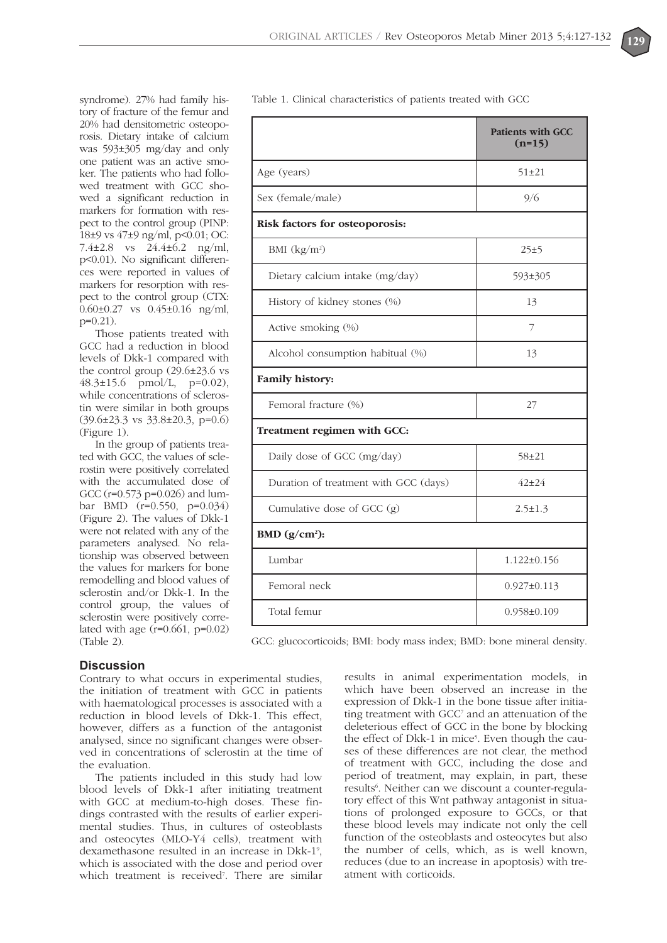

syndrome). 27% had family history of fracture of the femur and 20% had densitometric osteoporosis. Dietary intake of calcium was 593±305 mg/day and only one patient was an active smoker. The patients who had followed treatment with GCC showed a significant reduction in markers for formation with respect to the control group (PINP: 18±9 vs 47±9 ng/ml, p<0.01; OC: 7.4±2.8 vs 24.4±6.2 ng/ml, p<0.01). No significant differences were reported in values of markers for resorption with respect to the control group (CTX: 0.60±0.27 vs 0.45±0.16 ng/ml, p=0.21).

Those patients treated with GCC had a reduction in blood levels of Dkk-1 compared with the control group (29.6±23.6 vs 48.3±15.6 pmol/L, p=0.02), while concentrations of sclerostin were similar in both groups (39.6±23.3 vs 33.8±20.3, p=0.6) (Figure 1).

In the group of patients treated with GCC, the values of sclerostin were positively correlated with the accumulated dose of GCC (r=0.573 p=0.026) and lumbar BMD (r=0.550, p=0.034) (Figure 2). The values of Dkk-1 were not related with any of the parameters analysed. No relationship was observed between the values for markers for bone remodelling and blood values of sclerostin and/or Dkk-1. In the control group, the values of sclerostin were positively correlated with age  $(r=0.661, p=0.02)$ (Table 2).

| adie 1. Chincal characteristics of patients treated with GCC |                                      |  |
|--------------------------------------------------------------|--------------------------------------|--|
|                                                              | <b>Patients with GCC</b><br>$(n=15)$ |  |
| Age (years)                                                  | $51 \pm 21$                          |  |
| Sex (female/male)                                            | 9/6                                  |  |
| Risk factors for osteoporosis:                               |                                      |  |
| BMI $(kg/m^2)$                                               | 25±5                                 |  |
| Dietary calcium intake (mg/day)                              | 593±305                              |  |
| History of kidney stones (%)                                 | 13                                   |  |
| Active smoking (%)                                           | 7                                    |  |
| Alcohol consumption habitual (%)                             | 13                                   |  |
| Family history:                                              |                                      |  |
| Femoral fracture (%)                                         | 27                                   |  |
| Treatment regimen with GCC:                                  |                                      |  |
| Daily dose of GCC (mg/day)                                   | $58 + 21$                            |  |
| Duration of treatment with GCC (days)                        | $42 + 24$                            |  |
| Cumulative dose of GCC (g)                                   | $2.5 \pm 1.3$                        |  |
| BMD $(g/cm2)$ :                                              |                                      |  |
| Lumbar                                                       | $1.122 \pm 0.156$                    |  |
| Femoral neck                                                 | $0.927 \pm 0.113$                    |  |
| Total femur                                                  | $0.958 \pm 0.109$                    |  |
|                                                              |                                      |  |

Table 1. Clinical characteristics of patients treated with GCC

GCC: glucocorticoids; BMI: body mass index; BMD: bone mineral density.

## **Discussion**

Contrary to what occurs in experimental studies, the initiation of treatment with GCC in patients with haematological processes is associated with a reduction in blood levels of Dkk-1. This effect, however, differs as a function of the antagonist analysed, since no significant changes were observed in concentrations of sclerostin at the time of the evaluation.

The patients included in this study had low blood levels of Dkk-1 after initiating treatment with GCC at medium-to-high doses. These findings contrasted with the results of earlier experimental studies. Thus, in cultures of osteoblasts and osteocytes (MLO-Y4 cells), treatment with dexamethasone resulted in an increase in Dkk-1<sup>9</sup>, which is associated with the dose and period over which treatment is received<sup>7</sup>. There are similar

results in animal experimentation models, in which have been observed an increase in the expression of Dkk-1 in the bone tissue after initiating treatment with GCC<sup>7</sup> and an attenuation of the deleterious effect of GCC in the bone by blocking the effect of Dkk-1 in mice<sup>5</sup>. Even though the causes of these differences are not clear, the method of treatment with GCC, including the dose and period of treatment, may explain, in part, these results<sup>6</sup>. Neither can we discount a counter-regulatory effect of this Wnt pathway antagonist in situations of prolonged exposure to GCCs, or that these blood levels may indicate not only the cell function of the osteoblasts and osteocytes but also the number of cells, which, as is well known, reduces (due to an increase in apoptosis) with treatment with corticoids.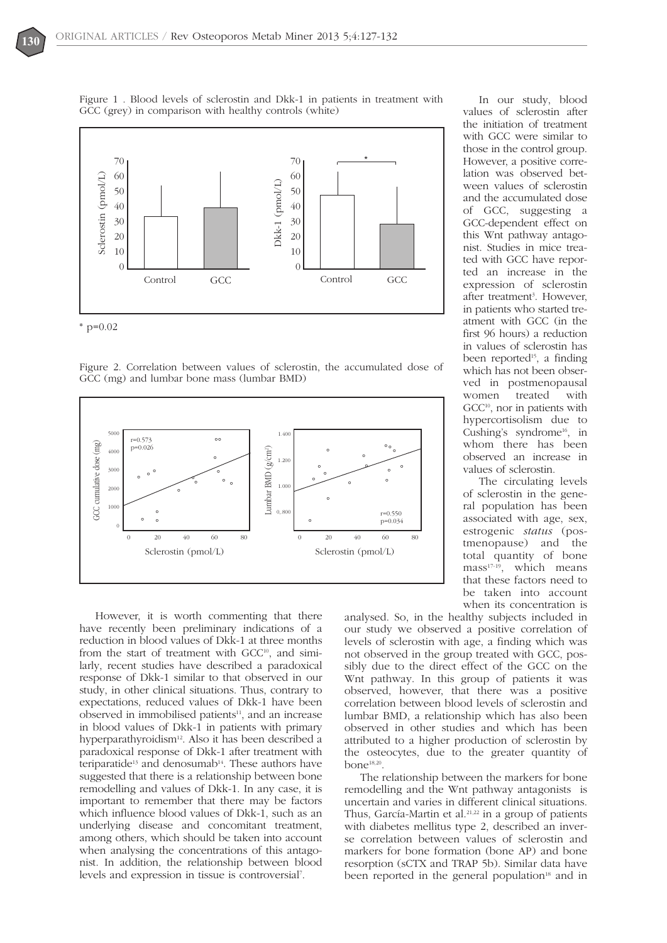

Figure 1 . Blood levels of sclerostin and Dkk-1 in patients in treatment with GCC (grey) in comparison with healthy controls (white)



Figure 2. Correlation between values of sclerostin, the accumulated dose of GCC (mg) and lumbar bone mass (lumbar BMD)



However, it is worth commenting that there have recently been preliminary indications of a reduction in blood values of Dkk-1 at three months from the start of treatment with GCC<sup>10</sup>, and similarly, recent studies have described a paradoxical response of Dkk-1 similar to that observed in our study, in other clinical situations. Thus, contrary to expectations, reduced values of Dkk-1 have been observed in immobilised patients<sup>11</sup>, and an increase in blood values of Dkk-1 in patients with primary hyperparathyroidism<sup>12</sup>. Also it has been described a paradoxical response of Dkk-1 after treatment with teriparatide<sup>13</sup> and denosumab<sup>14</sup>. These authors have suggested that there is a relationship between bone remodelling and values of Dkk-1. In any case, it is important to remember that there may be factors which influence blood values of Dkk-1, such as an underlying disease and concomitant treatment, among others, which should be taken into account when analysing the concentrations of this antagonist. In addition, the relationship between blood levels and expression in tissue is controversial7 .

In our study, blood values of sclerostin after the initiation of treatment with GCC were similar to those in the control group. However, a positive correlation was observed between values of sclerostin and the accumulated dose of GCC, suggesting a GCC-dependent effect on this Wnt pathway antagonist. Studies in mice treated with GCC have reported an increase in the expression of sclerostin after treatment<sup>3</sup>. However, in patients who started treatment with GCC (in the first 96 hours) a reduction in values of sclerostin has been reported<sup>15</sup>, a finding which has not been observed in postmenopausal women treated with GCC<sup>10</sup>, nor in patients with hypercortisolism due to Cushing's syndrome<sup>16</sup>, in whom there has been observed an increase in values of sclerostin.

The circulating levels of sclerostin in the general population has been associated with age, sex, estrogenic *status* (postmenopause) and the total quantity of bone  $mass<sup>17-19</sup>$ , which means that these factors need to be taken into account when its concentration is

analysed. So, in the healthy subjects included in our study we observed a positive correlation of levels of sclerostin with age, a finding which was not observed in the group treated with GCC, possibly due to the direct effect of the GCC on the Wnt pathway. In this group of patients it was observed, however, that there was a positive correlation between blood levels of sclerostin and lumbar BMD, a relationship which has also been observed in other studies and which has been attributed to a higher production of sclerostin by the osteocytes, due to the greater quantity of bone18,20.

The relationship between the markers for bone remodelling and the Wnt pathway antagonists is uncertain and varies in different clinical situations. Thus, García-Martin et al.<sup>21,22</sup> in a group of patients with diabetes mellitus type 2, described an inverse correlation between values of sclerostin and markers for bone formation (bone AP) and bone resorption (sCTX and TRAP 5b). Similar data have been reported in the general population<sup>18</sup> and in

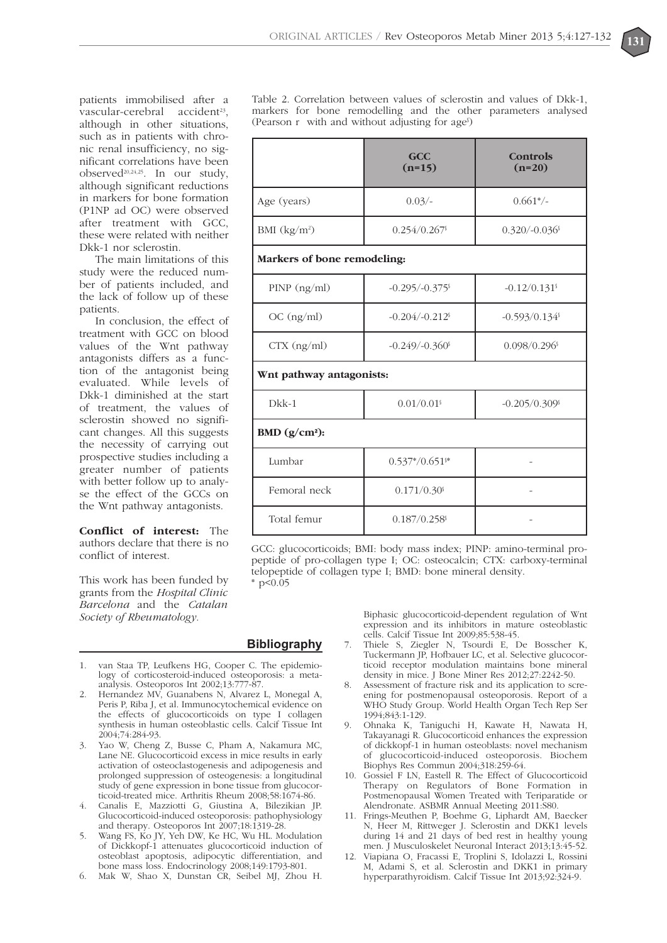patients immobilised after a vascular-cerebral accident<sup>23</sup>, although in other situations, such as in patients with chronic renal insufficiency, no significant correlations have been observed<sup>20,24,25</sup>. In our study, although significant reductions in markers for bone formation (P1NP ad OC) were observed after treatment with GCC, these were related with neither Dkk-1 nor sclerostin.

The main limitations of this study were the reduced number of patients included, and the lack of follow up of these patients.

In conclusion, the effect of treatment with GCC on blood values of the Wnt pathway antagonists differs as a function of the antagonist being evaluated. While levels of Dkk-1 diminished at the start of treatment, the values of sclerostin showed no significant changes. All this suggests the necessity of carrying out prospective studies including a greater number of patients with better follow up to analyse the effect of the GCCs on the Wnt pathway antagonists.

**Conflict of interest:** The authors declare that there is no conflict of interest.

This work has been funded by grants from the *Hospital Clinic Barcelona* and the *Catalan Society of Rheumatology.*

Table 2. Correlation between values of sclerostin and values of Dkk-1, markers for bone remodelling and the other parameters analysed (Pearson r with and without adjusting for age§ )

|                             | GCC<br>$(n=15)$               | <b>Controls</b><br>$(n=20)$ |
|-----------------------------|-------------------------------|-----------------------------|
| Age (years)                 | $0.03/-$                      | $0.661*/-$                  |
| BMI $(kg/m^2)$              | 0.254/0.267                   | $0.320/-0.036$              |
| Markers of bone remodeling: |                               |                             |
| PINP (ng/ml)                | $-0.295/-0.375$               | $-0.12/0.131$ <sup>s</sup>  |
| OC (ng/ml)                  | $-0.204/-0.212$ <sup>s</sup>  | $-0.593/0.134$ <sup>§</sup> |
| $CTX$ (ng/ml)               | $-0.249/-0.360$               | $0.098/0.296$ <sup>s</sup>  |
| Wnt pathway antagonists:    |                               |                             |
| $Dkk-1$                     | $0.01/0.01$ <sup>s</sup>      | $-0.205/0.309$ <sup>s</sup> |
| BMD $(g/cm2)$ :             |                               |                             |
| Lumbar                      | $0.537*/0.651$ <sup>\$*</sup> |                             |
| Femoral neck                | $0.171/0.30$ <sup>s</sup>     |                             |
| Total femur                 | $0.187/0.258$ <sup>s</sup>    |                             |

GCC: glucocorticoids; BMI: body mass index; PINP: amino-terminal propeptide of pro-collagen type I; OC: osteocalcin; CTX: carboxy-terminal telopeptide of collagen type I; BMD: bone mineral density.

 $*$  p<0.05

## **Bibliography**

- 1. van Staa TP, Leufkens HG, Cooper C. The epidemiology of corticosteroid-induced osteoporosis: a metaanalysis. Osteoporos Int 2002;13:777-87.
- 2. Hernandez MV, Guanabens N, Alvarez L, Monegal A, Peris P, Riba J, et al. Immunocytochemical evidence on the effects of glucocorticoids on type I collagen synthesis in human osteoblastic cells. Calcif Tissue Int 2004;74:284-93.
- 3. Yao W, Cheng Z, Busse C, Pham A, Nakamura MC, Lane NE. Glucocorticoid excess in mice results in early activation of osteoclastogenesis and adipogenesis and prolonged suppression of osteogenesis: a longitudinal study of gene expression in bone tissue from glucocorticoid-treated mice. Arthritis Rheum 2008;58:1674-86.
- 4. Canalis E, Mazziotti G, Giustina A, Bilezikian JP. Glucocorticoid-induced osteoporosis: pathophysiology and therapy. Osteoporos Int 2007;18:1319-28.
- 5. Wang FS, Ko JY, Yeh DW, Ke HC, Wu HL. Modulation of Dickkopf-1 attenuates glucocorticoid induction of osteoblast apoptosis, adipocytic differentiation, and bone mass loss. Endocrinology 2008;149:1793-801.
- 6. Mak W, Shao X, Dunstan CR, Seibel MJ, Zhou H.

Biphasic glucocorticoid-dependent regulation of Wnt expression and its inhibitors in mature osteoblastic cells. Calcif Tissue Int 2009;85:538-45.

- 7. Thiele S, Ziegler N, Tsourdi E, De Bosscher K, Tuckermann JP, Hofbauer LC, et al. Selective glucocorticoid receptor modulation maintains bone mineral density in mice. J Bone Miner Res 2012;27:2242-50.
- Assessment of fracture risk and its application to screening for postmenopausal osteoporosis. Report of a WHO Study Group. World Health Organ Tech Rep Ser 1994;843:1-129.
- 9. Ohnaka K, Taniguchi H, Kawate H, Nawata H, Takayanagi R. Glucocorticoid enhances the expression of dickkopf-1 in human osteoblasts: novel mechanism of glucocorticoid-induced osteoporosis. Biochem Biophys Res Commun 2004;318:259-64.
- 10. Gossiel F LN, Eastell R. The Effect of Glucocorticoid Therapy on Regulators of Bone Formation in Postmenopausal Women Treated with Teriparatide or Alendronate. ASBMR Annual Meeting 2011:S80.
- 11. Frings-Meuthen P, Boehme G, Liphardt AM, Baecker N, Heer M, Rittweger J. Sclerostin and DKK1 levels during 14 and 21 days of bed rest in healthy young men. J Musculoskelet Neuronal Interact 2013:13:45-52.
- 12. Viapiana O, Fracassi E, Troplini S, Idolazzi L, Rossini M, Adami S, et al. Sclerostin and DKK1 in primary hyperparathyroidism. Calcif Tissue Int 2013;92:324-9.